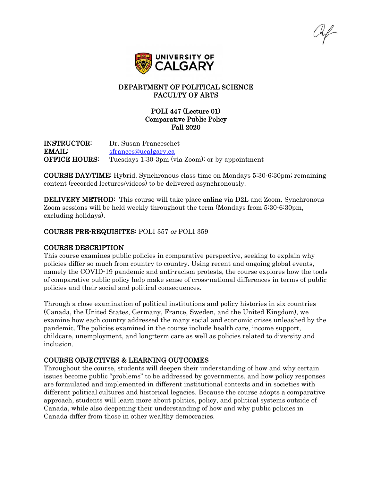

## DEPARTMENT OF POLITICAL SCIENCE FACULTY OF ARTS

## POLI 447 (Lecture 01) Comparative Public Policy Fall 2020

INSTRUCTOR: Dr. Susan Franceschet EMAIL: [sfrances@ucalgary.ca](mailto:sfrances@ucalgary.ca) **OFFICE HOURS:** Tuesdays 1:30-3pm (via Zoom); or by appointment

COURSE DAY/TIME: Hybrid. Synchronous class time on Mondays 5:30-6:30pm; remaining content (recorded lectures/videos) to be delivered asynchronously.

DELIVERY METHOD: This course will take place online via D2L and Zoom. Synchronous Zoom sessions will be held weekly throughout the term (Mondays from 5:30-6:30pm, excluding holidays).

#### COURSE PRE-REQUISITES: POLI 357 or POLI 359

#### COURSE DESCRIPTION

This course examines public policies in comparative perspective, seeking to explain why policies differ so much from country to country. Using recent and ongoing global events, namely the COVID-19 pandemic and anti-racism protests, the course explores how the tools of comparative public policy help make sense of cross-national differences in terms of public policies and their social and political consequences.

Through a close examination of political institutions and policy histories in six countries (Canada, the United States, Germany, France, Sweden, and the United Kingdom), we examine how each country addressed the many social and economic crises unleashed by the pandemic. The policies examined in the course include health care, income support, childcare, unemployment, and long-term care as well as policies related to diversity and inclusion.

#### COURSE OBJECTIVES & LEARNING OUTCOMES

Throughout the course, students will deepen their understanding of how and why certain issues become public "problems" to be addressed by governments, and how policy responses are formulated and implemented in different institutional contexts and in societies with different political cultures and historical legacies. Because the course adopts a comparative approach, students will learn more about politics, policy, and political systems outside of Canada, while also deepening their understanding of how and why public policies in Canada differ from those in other wealthy democracies.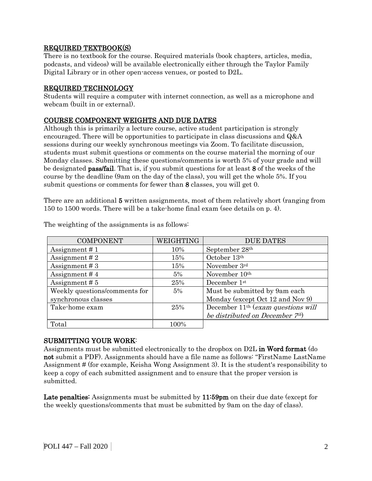## REQUIRED TEXTBOOK(S)

There is no textbook for the course. Required materials (book chapters, articles, media, podcasts, and videos) will be available electronically either through the Taylor Family Digital Library or in other open-access venues, or posted to D2L.

#### REQUIRED TECHNOLOGY

Students will require a computer with internet connection, as well as a microphone and webcam (built in or external).

## COURSE COMPONENT WEIGHTS AND DUE DATES

Although this is primarily a lecture course, active student participation is strongly encouraged. There will be opportunities to participate in class discussions and Q&A sessions during our weekly synchronous meetings via Zoom. To facilitate discussion, students must submit questions or comments on the course material the morning of our Monday classes. Submitting these questions/comments is worth 5% of your grade and will be designated pass/fail. That is, if you submit questions for at least 8 of the weeks of the course by the deadline (9am on the day of the class), you will get the whole 5%. If you submit questions or comments for fewer than 8 classes, you will get 0.

There are an additional 5 written assignments, most of them relatively short (ranging from 150 to 1500 words. There will be a take-home final exam (see details on p. 4).

| <b>COMPONENT</b>              | WEIGHTING | <b>DUE DATES</b>                     |
|-------------------------------|-----------|--------------------------------------|
| Assignment $# 1$              | 10%       | September 28th                       |
| Assignment $#2$               | 15%       | October 13th                         |
| Assignment $#3$               | 15%       | November 3rd                         |
| Assignment $#4$               | 5%        | November 10 <sup>th</sup>            |
| Assignment $# 5$              | 25%       | December 1st                         |
| Weekly questions/comments for | 5%        | Must be submitted by 9am each        |
| synchronous classes           |           | Monday (except Oct 12 and Nov 9)     |
| Take-home exam                | 25%       | December $11th$ (exam questions will |
|                               |           | be distributed on December 7th)      |
| Total                         | 100%      |                                      |

The weighting of the assignments is as follows:

#### SUBMITTING YOUR WORK:

Assignments must be submitted electronically to the dropbox on D2L in Word format (do not submit a PDF). Assignments should have a file name as follows: "FirstName LastName Assignment # (for example, Keisha Wong Assignment 3). It is the student's responsibility to keep a copy of each submitted assignment and to ensure that the proper version is submitted.

Late penalties: Assignments must be submitted by 11:59pm on their due date (except for the weekly questions/comments that must be submitted by 9am on the day of class).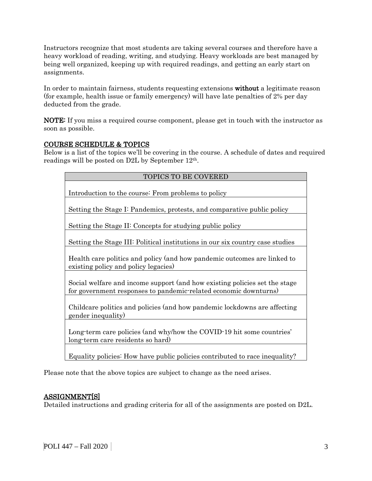Instructors recognize that most students are taking several courses and therefore have a heavy workload of reading, writing, and studying. Heavy workloads are best managed by being well organized, keeping up with required readings, and getting an early start on assignments.

In order to maintain fairness, students requesting extensions without a legitimate reason (for example, health issue or family emergency) will have late penalties of 2% per day deducted from the grade.

NOTE: If you miss a required course component, please get in touch with the instructor as soon as possible.

## COURSE SCHEDULE & TOPICS

Below is a list of the topics we'll be covering in the course. A schedule of dates and required readings will be posted on D2L by September 12th.

| <b>TOPICS TO BE COVERED</b>                                                                                                                    |  |  |  |  |
|------------------------------------------------------------------------------------------------------------------------------------------------|--|--|--|--|
| Introduction to the course: From problems to policy                                                                                            |  |  |  |  |
| Setting the Stage I: Pandemics, protests, and comparative public policy                                                                        |  |  |  |  |
| Setting the Stage II: Concepts for studying public policy                                                                                      |  |  |  |  |
| Setting the Stage III: Political institutions in our six country case studies                                                                  |  |  |  |  |
| Health care politics and policy (and how pandemic outcomes are linked to<br>existing policy and policy legacies)                               |  |  |  |  |
| Social welfare and income support (and how existing policies set the stage<br>for government responses to pandemic-related economic downturns) |  |  |  |  |
| Childcare politics and policies (and how pandemic lockdowns are affecting<br>gender inequality)                                                |  |  |  |  |
| Long-term care policies (and why/how the COVID-19 hit some countries'<br>long-term care residents so hard)                                     |  |  |  |  |
|                                                                                                                                                |  |  |  |  |

Equality policies: How have public policies contributed to race inequality?

Please note that the above topics are subject to change as the need arises.

## ASSIGNMENT[S]

Detailed instructions and grading criteria for all of the assignments are posted on D2L.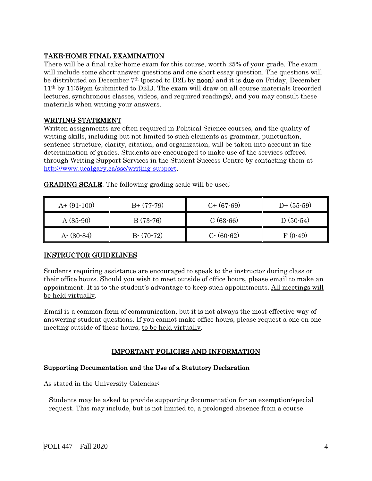# TAKE-HOME FINAL EXAMINATION

There will be a final take-home exam for this course, worth 25% of your grade. The exam will include some short-answer questions and one short essay question. The questions will be distributed on December 7th (posted to D2L by noon) and it is due on Friday, December 11th by 11:59pm (submitted to D2L). The exam will draw on all course materials (recorded lectures, synchronous classes, videos, and required readings), and you may consult these materials when writing your answers.

## WRITING STATEMENT

Written assignments are often required in Political Science courses, and the quality of writing skills, including but not limited to such elements as grammar, punctuation, sentence structure, clarity, citation, and organization, will be taken into account in the determination of grades. Students are encouraged to make use of the services offered through Writing Support Services in the Student Success Centre by contacting them at [http://www.ucalgary.ca/ssc/writing-support.](http://www.ucalgary.ca/ssc/writing-support)

| $A+ (91-100)$ | $B+ (77-79)$ | $C+$ (67-69)  | $D+$ (55-59) |
|---------------|--------------|---------------|--------------|
| $A(85-90)$    | $B(73-76)$   | $C(63-66)$    | $D(50-54)$   |
| $A - (80-84)$ | $B-(70-72)$  | $C - (60-62)$ | $F(0-49)$    |

GRADING SCALE. The following grading scale will be used:

#### INSTRUCTOR GUIDELINES

Students requiring assistance are encouraged to speak to the instructor during class or their office hours. Should you wish to meet outside of office hours, please email to make an appointment. It is to the student's advantage to keep such appointments. All meetings will be held virtually.

Email is a common form of communication, but it is not always the most effective way of answering student questions. If you cannot make office hours, please request a one on one meeting outside of these hours, to be held virtually.

## IMPORTANT POLICIES AND INFORMATION

#### Supporting Documentation and the Use of a Statutory Declaration

As stated in the University Calendar:

Students may be asked to provide supporting documentation for an exemption/special request. This may include, but is not limited to, a prolonged absence from a course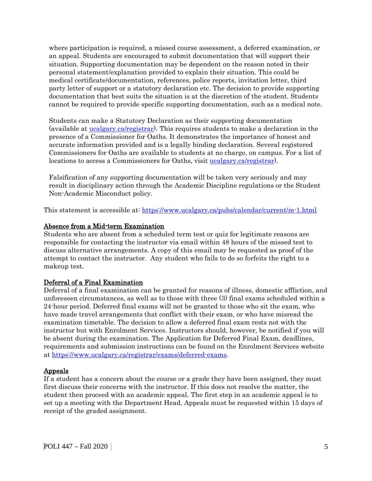where participation is required, a missed course assessment, a deferred examination, or an appeal. Students are encouraged to submit documentation that will support their situation. Supporting documentation may be dependent on the reason noted in their personal statement/explanation provided to explain their situation. This could be medical certificate/documentation, references, police reports, invitation letter, third party letter of support or a statutory declaration etc. The decision to provide supporting documentation that best suits the situation is at the discretion of the student. Students cannot be required to provide specific supporting documentation, such as a medical note.

Students can make a Statutory Declaration as their supporting documentation (available at [ucalgary.ca/registrar\)](http://www.ucalgary.ca/registrar). This requires students to make a declaration in the presence of a Commissioner for Oaths. It demonstrates the importance of honest and accurate information provided and is a legally binding declaration. Several registered Commissioners for Oaths are available to students at no charge, on campus. For a list of locations to access a Commissioners for Oaths, visit [ucalgary.ca/registrar\)](http://www.ucalgary.ca/registrar).

Falsification of any supporting documentation will be taken very seriously and may result in disciplinary action through the Academic Discipline regulations or the Student Non-Academic Misconduct policy.

This statement is accessible at:<https://www.ucalgary.ca/pubs/calendar/current/m-1.html>

## Absence from a Mid-term Examination

Students who are absent from a scheduled term test or quiz for legitimate reasons are responsible for contacting the instructor via email within 48 hours of the missed test to discuss alternative arrangements. A copy of this email may be requested as proof of the attempt to contact the instructor. Any student who fails to do so forfeits the right to a makeup test.

## Deferral of a Final Examination

Deferral of a final examination can be granted for reasons of illness, domestic affliction, and unforeseen circumstances, as well as to those with three (3) final exams scheduled within a 24-hour period. Deferred final exams will not be granted to those who sit the exam, who have made travel arrangements that conflict with their exam, or who have misread the examination timetable. The decision to allow a deferred final exam rests not with the instructor but with Enrolment Services. Instructors should, however, be notified if you will be absent during the examination. The Application for Deferred Final Exam, deadlines, requirements and submission instructions can be found on the Enrolment Services website at [https://www.ucalgary.ca/registrar/exams/deferred-exams.](https://www.ucalgary.ca/registrar/exams/deferred-exams)

#### Appeals

If a student has a concern about the course or a grade they have been assigned, they must first discuss their concerns with the instructor. If this does not resolve the matter, the student then proceed with an academic appeal. The first step in an academic appeal is to set up a meeting with the Department Head. Appeals must be requested within 15 days of receipt of the graded assignment.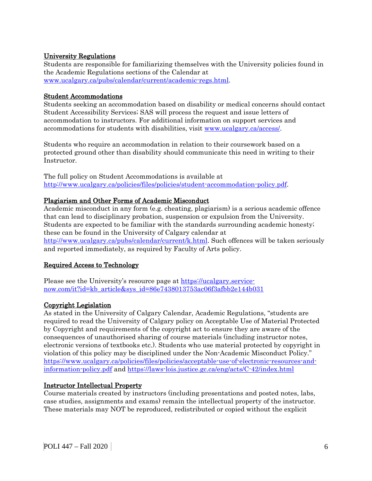## University Regulations

Students are responsible for familiarizing themselves with the University policies found in the Academic Regulations sections of the Calendar at [www.ucalgary.ca/pubs/calendar/current/academic-regs.html.](http://www.ucalgary.ca/pubs/calendar/current/academic-regs.html)

#### Student Accommodations

Students seeking an accommodation based on disability or medical concerns should contact Student Accessibility Services; SAS will process the request and issue letters of accommodation to instructors. For additional information on support services and accommodations for students with disabilities, visit [www.ucalgary.ca/access/.](http://www.ucalgary.ca/access/)

Students who require an accommodation in relation to their coursework based on a protected ground other than disability should communicate this need in writing to their Instructor.

The full policy on Student Accommodations is available at [http://www.ucalgary.ca/policies/files/policies/student-accommodation-policy.pdf.](http://www.ucalgary.ca/policies/files/policies/student-accommodation-policy.pdf)

## Plagiarism and Other Forms of Academic Misconduct

Academic misconduct in any form (e.g. cheating, plagiarism) is a serious academic offence that can lead to disciplinary probation, suspension or expulsion from the University. Students are expected to be familiar with the standards surrounding academic honesty; these can be found in the University of Calgary calendar at [http://www.ucalgary.ca/pubs/calendar/current/k.html.](http://www.ucalgary.ca/pubs/calendar/current/k.html) Such offences will be taken seriously and reported immediately, as required by Faculty of Arts policy.

#### Required Access to Technology

Please see the University's resource page at [https://ucalgary.service](https://ucalgary.service-now.com/it?id=kb_article&sys_id=86e7438013753ac06f3afbb2e144b031)[now.com/it?id=kb\\_article&sys\\_id=86e7438013753ac06f3afbb2e144b031](https://ucalgary.service-now.com/it?id=kb_article&sys_id=86e7438013753ac06f3afbb2e144b031)

## Copyright Legislation

As stated in the University of Calgary Calendar, Academic Regulations, "students are required to read the University of Calgary policy on Acceptable Use of Material Protected by Copyright and requirements of the copyright act to ensure they are aware of the consequences of unauthorised sharing of course materials (including instructor notes, electronic versions of textbooks etc.). Students who use material protected by copyright in violation of this policy may be disciplined under the Non-Academic Misconduct Policy." [https://www.ucalgary.ca/policies/files/policies/acceptable-use-of-electronic-resources-and](https://www.ucalgary.ca/policies/files/policies/acceptable-use-of-electronic-resources-and-information-policy.pdf)[information-policy.pdf](https://www.ucalgary.ca/policies/files/policies/acceptable-use-of-electronic-resources-and-information-policy.pdf) and<https://laws-lois.justice.gc.ca/eng/acts/C-42/index.html>

#### Instructor Intellectual Property

Course materials created by instructors (including presentations and posted notes, labs, case studies, assignments and exams) remain the intellectual property of the instructor. These materials may NOT be reproduced, redistributed or copied without the explicit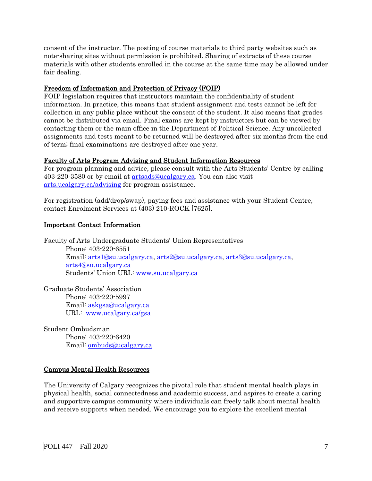consent of the instructor. The posting of course materials to third party websites such as note-sharing sites without permission is prohibited. Sharing of extracts of these course materials with other students enrolled in the course at the same time may be allowed under fair dealing.

## Freedom of Information and Protection of Privacy (FOIP)

FOIP legislation requires that instructors maintain the confidentiality of student information. In practice, this means that student assignment and tests cannot be left for collection in any public place without the consent of the student. It also means that grades cannot be distributed via email. Final exams are kept by instructors but can be viewed by contacting them or the main office in the Department of Political Science. Any uncollected assignments and tests meant to be returned will be destroyed after six months from the end of term; final examinations are destroyed after one year.

## Faculty of Arts Program Advising and Student Information Resources

For program planning and advice, please consult with the Arts Students' Centre by calling 403-220-3580 or by email at [artsads@ucalgary.ca.](mailto:artsads@ucalgary.ca) You can also visit [arts.ucalgary.ca/advising](http://arts.ucalgary.ca/advising) for program assistance.

For registration (add/drop/swap), paying fees and assistance with your Student Centre, contact Enrolment Services at (403) 210-ROCK [7625].

# Important Contact Information

Faculty of Arts Undergraduate Students' Union Representatives Phone: 403-220-6551 Email: [arts1@su.ucalgary.ca,](mailto:arts1@su.ucalgary.ca) [arts2@su.ucalgary.ca,](mailto:arts2@su.ucalgary.ca) [arts3@su.ucalgary.ca,](mailto:arts3@su.ucalgary.ca) [arts4@su.ucalgary.ca](mailto:arts4@su.ucalgary.ca) Students' Union URL: [www.su.ucalgary.ca](http://www.su.ucalgary.ca/)

Graduate Students' Association Phone: 403-220-5997 Email: [askgsa@ucalgary.ca](mailto:askgsa@ucalgary.ca) URL: [www.ucalgary.ca/gsa](http://www.ucalgary.ca/gsa)

Student Ombudsman Phone: 403-220-6420 Email: [ombuds@ucalgary.ca](mailto:ombuds@ucalgary.ca)

# Campus Mental Health Resources

The University of Calgary recognizes the pivotal role that student mental health plays in physical health, social connectedness and academic success, and aspires to create a caring and supportive campus community where individuals can freely talk about mental health and receive supports when needed. We encourage you to explore the excellent mental